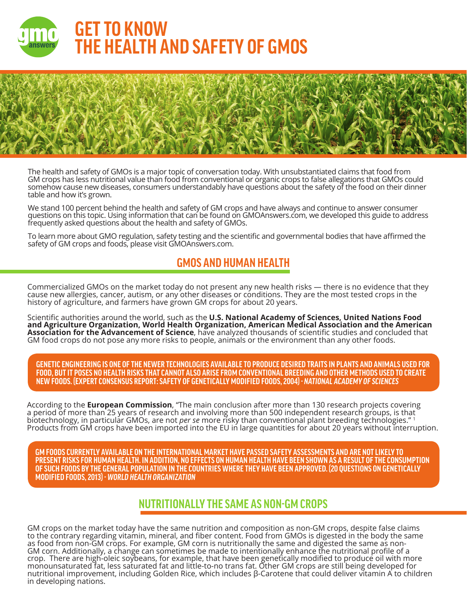



The health and safety of GMOs is a major topic of conversation today. With unsubstantiated claims that food from GM crops has less nutritional value than food from conventional or organic crops to false allegations that GMOs could somehow cause new diseases, consumers understandably have questions about the safety of the food on their dinner table and how it's grown.

We stand 100 percent behind the health and safety of GM crops and have always and continue to answer consumer questions on this topic. Using information that can be found on GMOAnswers.com, we developed this guide to address frequently asked questions about the health and safety of GMOs.

To learn more about GMO regulation, safety testing and the scientific and governmental bodies that have affirmed the safety of GM crops and foods, please visit GMOAnswers.com.

# **GMOS AND HUMAN HEALTH**

Commercialized GMOs on the market today do not present any new health risks — there is no evidence that they cause new allergies, cancer, autism, or any other diseases or conditions. They are the most tested crops in the history of agriculture, and farmers have grown GM crops for about 20 years.

Scientific authorities around the world, such as the **U.S. National Academy of Sciences, United Nations Food and Agriculture Organization, World Health Organization, American Medical Association and the American Association for the Advancement of Science**, have analyzed thousands of scientific studies and concluded that GM food crops do not pose any more risks to people, animals or the environment than any other foods.

**GENETIC ENGINEERING IS ONE OF THE NEWER TECHNOLOGIES AVAILABLE TO PRODUCE DESIRED TRAITS IN PLANTS AND ANIMALS USED FOR FOOD, BUT IT POSES NO HEALTH RISKS THAT CANNOT ALSO ARISE FROM CONVENTIONAL BREEDING AND OTHER METHODS USED TO CREATE NEW FOODS. (EXPERT CONSENSUS REPORT: SAFETY OF GENETICALLY MODIFIED FOODS, 2004)** *- NATIONAL ACADEMY OF SCIENCES*

According to the **European Commission**, "The main conclusion after more than 130 research projects covering a period of more than 25 years of research and involving more than 500 independent research groups, is that biotechnology, in particular GMOs, are not *per se* more risky than conventional plant breeding technologies." 1 Products from GM crops have been imported into the EU in large quantities for about 20 years without interruption.

**GM FOODS CURRENTLY AVAILABLE ON THE INTERNATIONAL MARKET HAVE PASSED SAFETY ASSESSMENTS AND ARE NOT LIKELY TO PRESENT RISKS FOR HUMAN HEALTH. IN ADDITION, NO EFFECTS ON HUMAN HEALTH HAVE BEEN SHOWN AS A RESULT OF THE CONSUMPTION OF SUCH FOODS BY THE GENERAL POPULATION IN THE COUNTRIES WHERE THEY HAVE BEEN APPROVED. (20 QUESTIONS ON GENETICALLY MODIFIED FOODS, 2013)** *- WORLD HEALTH ORGANIZATION*

#### **NUTRITIONALLY THE SAME AS NON-GM CROPS**

GM crops on the market today have the same nutrition and composition as non-GM crops, despite false claims to the contrary regarding vitamin, mineral, and fiber content. Food from GMOs is digested in the body the same as food from non-GM crops. For example, GM corn is nutritionally the same and digested the same as non-GM corn. Additionally, a change can sometimes be made to intentionally enhance the nutritional profile of a crop. There are high-oleic soybeans, for example, that have been genetically modified to produce oil with more monounsaturated fat, less saturated fat and little-to-no trans fat. Other GM crops are still being developed for nutritional improvement, including Golden Rice, which includes β-Carotene that could deliver vitamin A to children in developing nations.